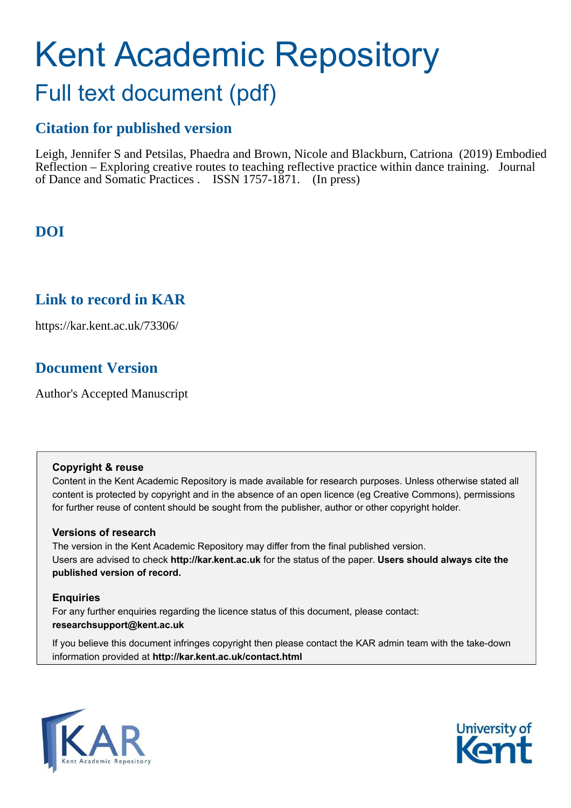# Kent Academic Repository Full text document (pdf)

## **Citation for published version**

Leigh, Jennifer S and Petsilas, Phaedra and Brown, Nicole and Blackburn, Catriona (2019) Embodied Reflection – Exploring creative routes to teaching reflective practice within dance training. Journal of Dance and Somatic Practices . ISSN 1757-1871. (In press)

## **DOI**

### **Link to record in KAR**

https://kar.kent.ac.uk/73306/

## **Document Version**

Author's Accepted Manuscript

### **Copyright & reuse**

Content in the Kent Academic Repository is made available for research purposes. Unless otherwise stated all content is protected by copyright and in the absence of an open licence (eg Creative Commons), permissions for further reuse of content should be sought from the publisher, author or other copyright holder.

### **Versions of research**

The version in the Kent Academic Repository may differ from the final published version. Users are advised to check **http://kar.kent.ac.uk** for the status of the paper. **Users should always cite the published version of record.**

### **Enquiries**

For any further enquiries regarding the licence status of this document, please contact: **researchsupport@kent.ac.uk**

If you believe this document infringes copyright then please contact the KAR admin team with the take-down information provided at **http://kar.kent.ac.uk/contact.html**



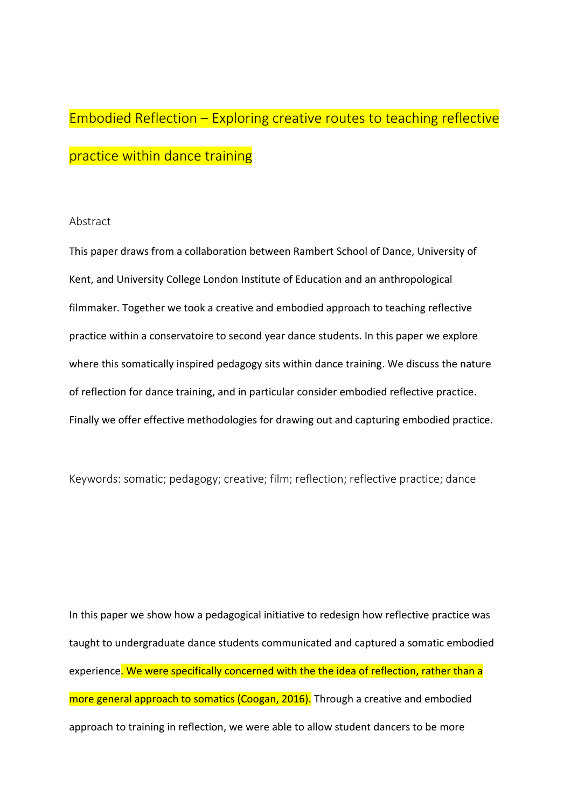## Embodied Reflection – Exploring creative routes to teaching reflective practice within dance training

### Abstract

This paper draws from a collaboration between Rambert School of Dance, University of Kent, and University College London Institute of Education and an anthropological filmmaker. Together we took a creative and embodied approach to teaching reflective practice within a conservatoire to second year dance students. In this paper we explore where this somatically inspired pedagogy sits within dance training. We discuss the nature of reflection for dance training, and in particular consider embodied reflective practice. Finally we offer effective methodologies for drawing out and capturing embodied practice.

Keywords: somatic; pedagogy; creative; film; reflection; reflective practice; dance

In this paper we show how a pedagogical initiative to redesign how reflective practice was taught to undergraduate dance students communicated and captured a somatic embodied experience. We were specifically concerned with the the idea of reflection, rather than a more general approach to somatics (Coogan, 2016). Through a creative and embodied approach to training in reflection, we were able to allow student dancers to be more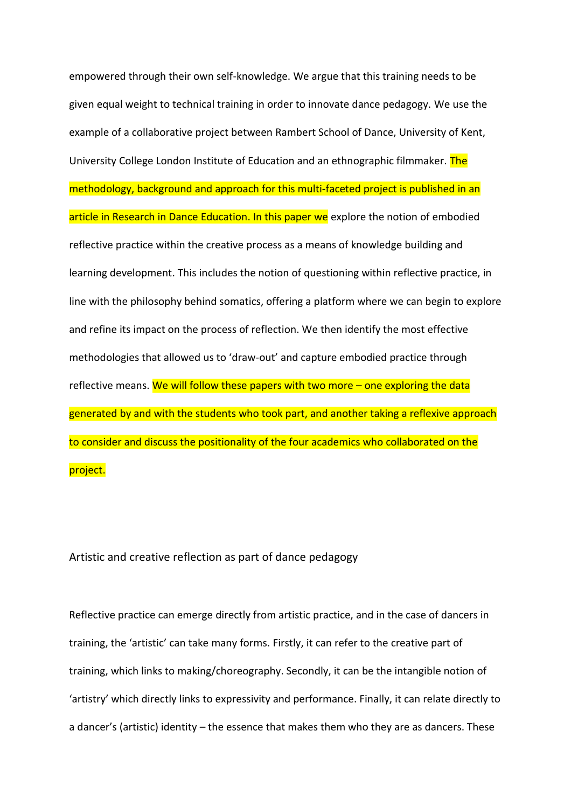empowered through their own self-knowledge. We argue that this training needs to be given equal weight to technical training in order to innovate dance pedagogy. We use the example of a collaborative project between Rambert School of Dance, University of Kent, University College London Institute of Education and an ethnographic filmmaker. The methodology, background and approach for this multi-faceted project is published in an article in Research in Dance Education. In this paper we explore the notion of embodied reflective practice within the creative process as a means of knowledge building and learning development. This includes the notion of questioning within reflective practice, in line with the philosophy behind somatics, offering a platform where we can begin to explore and refine its impact on the process of reflection. We then identify the most effective methodologies that allowed us to 'draw-out' and capture embodied practice through reflective means. We will follow these papers with two more – one exploring the data generated by and with the students who took part, and another taking a reflexive approach to consider and discuss the positionality of the four academics who collaborated on the project.

### Artistic and creative reflection as part of dance pedagogy

Reflective practice can emerge directly from artistic practice, and in the case of dancers in training, the 'artistic' can take many forms. Firstly, it can refer to the creative part of training, which links to making/choreography. Secondly, it can be the intangible notion of 'artistry' which directly links to expressivity and performance. Finally, it can relate directly to a dancer's (artistic) identity – the essence that makes them who they are as dancers. These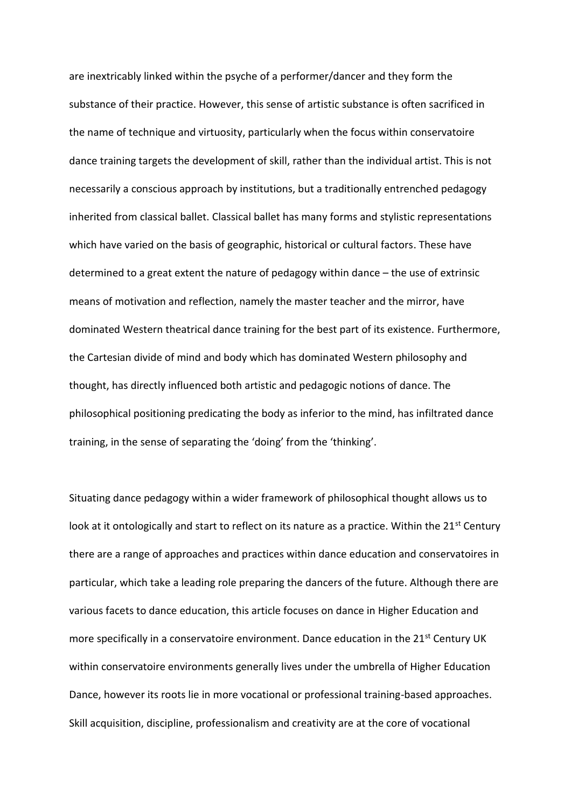are inextricably linked within the psyche of a performer/dancer and they form the substance of their practice. However, this sense of artistic substance is often sacrificed in the name of technique and virtuosity, particularly when the focus within conservatoire dance training targets the development of skill, rather than the individual artist. This is not necessarily a conscious approach by institutions, but a traditionally entrenched pedagogy inherited from classical ballet. Classical ballet has many forms and stylistic representations which have varied on the basis of geographic, historical or cultural factors. These have determined to a great extent the nature of pedagogy within dance – the use of extrinsic means of motivation and reflection, namely the master teacher and the mirror, have dominated Western theatrical dance training for the best part of its existence. Furthermore, the Cartesian divide of mind and body which has dominated Western philosophy and thought, has directly influenced both artistic and pedagogic notions of dance. The philosophical positioning predicating the body as inferior to the mind, has infiltrated dance training, in the sense of separating the 'doing' from the 'thinking'.

Situating dance pedagogy within a wider framework of philosophical thought allows us to look at it ontologically and start to reflect on its nature as a practice. Within the 21<sup>st</sup> Century there are a range of approaches and practices within dance education and conservatoires in particular, which take a leading role preparing the dancers of the future. Although there are various facets to dance education, this article focuses on dance in Higher Education and more specifically in a conservatoire environment. Dance education in the  $21^{st}$  Century UK within conservatoire environments generally lives under the umbrella of Higher Education Dance, however its roots lie in more vocational or professional training-based approaches. Skill acquisition, discipline, professionalism and creativity are at the core of vocational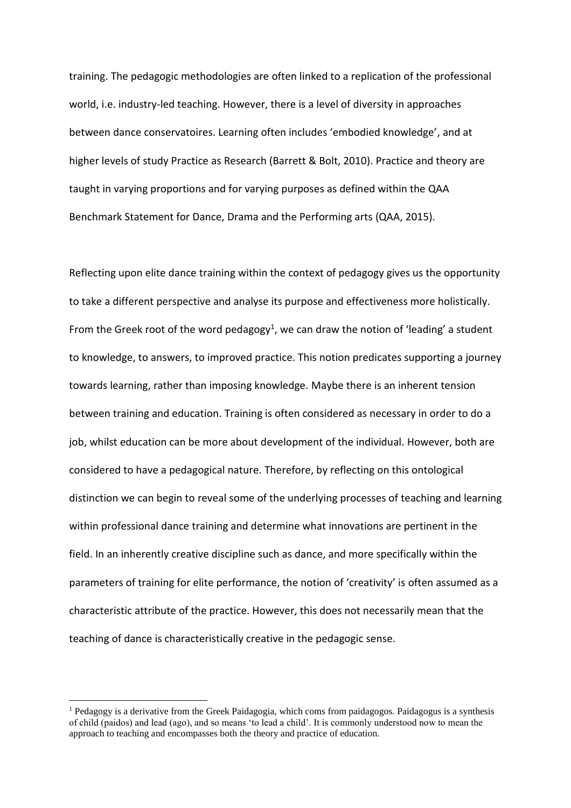training. The pedagogic methodologies are often linked to a replication of the professional world, i.e. industry-led teaching. However, there is a level of diversity in approaches between dance conservatoires. Learning often includes 'embodied knowledge', and at higher levels of study Practice as Research (Barrett & Bolt, 2010). Practice and theory are taught in varying proportions and for varying purposes as defined within the QAA Benchmark Statement for Dance, Drama and the Performing arts (QAA, 2015).

Reflecting upon elite dance training within the context of pedagogy gives us the opportunity to take a different perspective and analyse its purpose and effectiveness more holistically. From the Greek root of the word pedagogy<sup>1</sup>, we can draw the notion of 'leading' a student to knowledge, to answers, to improved practice. This notion predicates supporting a journey towards learning, rather than imposing knowledge. Maybe there is an inherent tension between training and education. Training is often considered as necessary in order to do a job, whilst education can be more about development of the individual. However, both are considered to have a pedagogical nature. Therefore, by reflecting on this ontological distinction we can begin to reveal some of the underlying processes of teaching and learning within professional dance training and determine what innovations are pertinent in the field. In an inherently creative discipline such as dance, and more specifically within the parameters of training for elite performance, the notion of 'creativity' is often assumed as a characteristic attribute of the practice. However, this does not necessarily mean that the teaching of dance is characteristically creative in the pedagogic sense.

 $\overline{a}$ 

<sup>&</sup>lt;sup>1</sup> Pedagogy is a derivative from the Greek Paidagogia, which coms from paidagogos. Paidagogus is a synthesis of child (paidos) and lead (ago), and so means 'to lead a child'. It is commonly understood now to mean the approach to teaching and encompasses both the theory and practice of education.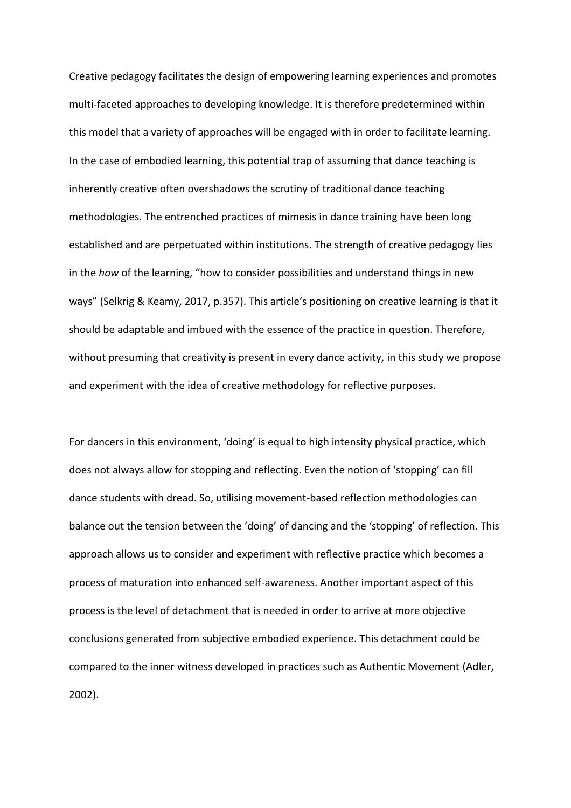Creative pedagogy facilitates the design of empowering learning experiences and promotes multi-faceted approaches to developing knowledge. It is therefore predetermined within this model that a variety of approaches will be engaged with in order to facilitate learning. In the case of embodied learning, this potential trap of assuming that dance teaching is inherently creative often overshadows the scrutiny of traditional dance teaching methodologies. The entrenched practices of mimesis in dance training have been long established and are perpetuated within institutions. The strength of creative pedagogy lies in the how of the learning, "how to consider possibilities and understand things in new ways" (Selkrig & Keamy, 2017, p.357). This article's positioning on creative learning is that it should be adaptable and imbued with the essence of the practice in question. Therefore, without presuming that creativity is present in every dance activity, in this study we propose and experiment with the idea of creative methodology for reflective purposes.

For dancers in this environment, 'doing' is equal to high intensity physical practice, which does not always allow for stopping and reflecting. Even the notion of 'stopping' can fill dance students with dread. So, utilising movement-based reflection methodologies can balance out the tension between the 'doing' of dancing and the 'stopping' of reflection. This approach allows us to consider and experiment with reflective practice which becomes a process of maturation into enhanced self-awareness. Another important aspect of this process is the level of detachment that is needed in order to arrive at more objective conclusions generated from subjective embodied experience. This detachment could be compared to the inner witness developed in practices such as Authentic Movement (Adler,  $2002$ ).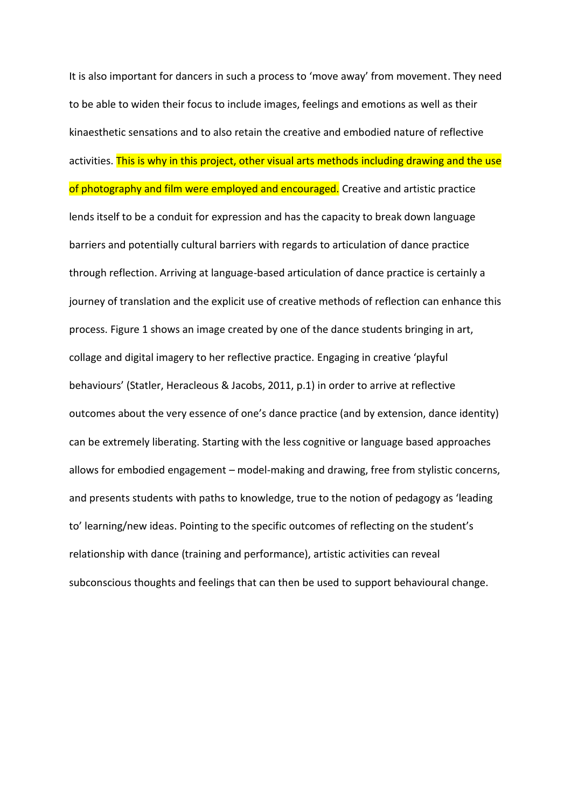It is also important for dancers in such a process to 'move away' from movement. They need to be able to widen their focus to include images, feelings and emotions as well as their kinaesthetic sensations and to also retain the creative and embodied nature of reflective activities. This is why in this project, other visual arts methods including drawing and the use of photography and film were employed and encouraged. Creative and artistic practice lends itself to be a conduit for expression and has the capacity to break down language barriers and potentially cultural barriers with regards to articulation of dance practice through reflection. Arriving at language-based articulation of dance practice is certainly a journey of translation and the explicit use of creative methods of reflection can enhance this process. Figure 1 shows an image created by one of the dance students bringing in art, collage and digital imagery to her reflective practice. Engaging in creative 'playful behaviours' (Statler, Heracleous & Jacobs, 2011, p.1) in order to arrive at reflective outcomes about the very essence of one's dance practice (and by extension, dance identity) can be extremely liberating. Starting with the less cognitive or language based approaches allows for embodied engagement – model-making and drawing, free from stylistic concerns, and presents students with paths to knowledge, true to the notion of pedagogy as 'leading to' learning/new ideas. Pointing to the specific outcomes of reflecting on the student's relationship with dance (training and performance), artistic activities can reveal subconscious thoughts and feelings that can then be used to support behavioural change.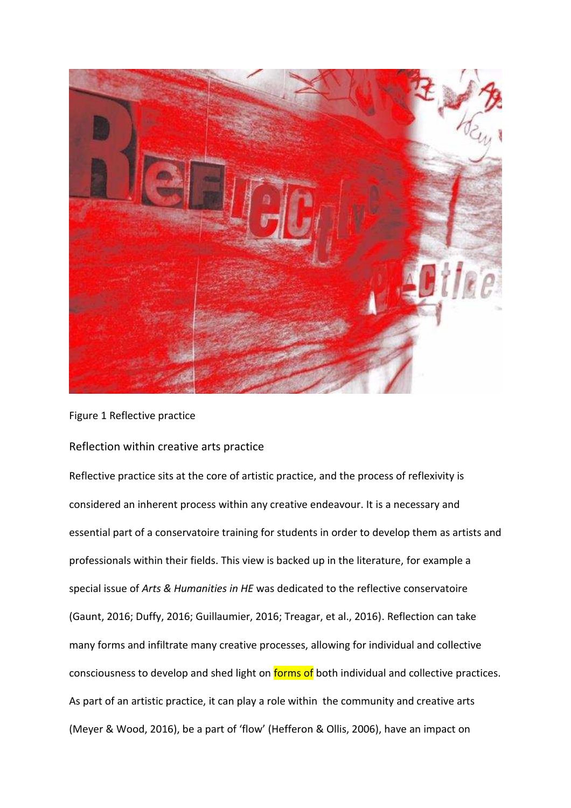

Figure 1 Reflective practice

### Reflection within creative arts practice

Reflective practice sits at the core of artistic practice, and the process of reflexivity is considered an inherent process within any creative endeavour. It is a necessary and essential part of a conservatoire training for students in order to develop them as artists and professionals within their fields. This view is backed up in the literature, for example a special issue of *Arts & Humanities in HE* was dedicated to the reflective conservatoire (Gaunt, 2016; Duffy, 2016; Guillaumier, 2016; Treagar, et al., 2016). Reflection can take many forms and infiltrate many creative processes, allowing for individual and collective consciousness to develop and shed light on forms of both individual and collective practices. As part of an artistic practice, it can play a role within the community and creative arts (Meyer & Wood, 2016), be a part of 'flow' (Hefferon & Ollis, 2006), have an impact on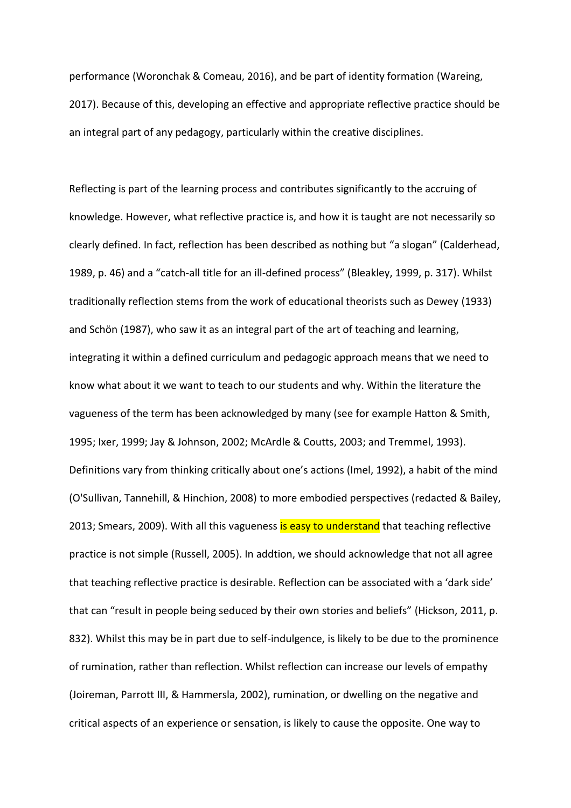performance (Woronchak & Comeau, 2016), and be part of identity formation (Wareing, 2017). Because of this, developing an effective and appropriate reflective practice should be an integral part of any pedagogy, particularly within the creative disciplines.

Reflecting is part of the learning process and contributes significantly to the accruing of knowledge. However, what reflective practice is, and how it is taught are not necessarily so clearly defined. In fact, reflection has been described as nothing but "a slogan" (Calderhead, 1989, p. 46) and a "catch-all title for an ill-defined process" (Bleakley, 1999, p. 317). Whilst traditionally reflection stems from the work of educational theorists such as Dewey (1933) and Schön (1987), who saw it as an integral part of the art of teaching and learning, integrating it within a defined curriculum and pedagogic approach means that we need to know what about it we want to teach to our students and why. Within the literature the vagueness of the term has been acknowledged by many (see for example Hatton & Smith, 1995; Ixer, 1999; Jay & Johnson, 2002; McArdle & Coutts, 2003; and Tremmel, 1993). Definitions vary from thinking critically about one's actions (Imel, 1992), a habit of the mind (O'Sullivan, Tannehill, & Hinchion, 2008) to more embodied perspectives (redacted & Bailey, 2013; Smears, 2009). With all this vagueness is easy to understand that teaching reflective practice is not simple (Russell, 2005). In addtion, we should acknowledge that not all agree that teaching reflective practice is desirable. Reflection can be associated with a 'dark side' that can "result in people being seduced by their own stories and beliefs" (Hickson, 2011, p. 832). Whilst this may be in part due to self-indulgence, is likely to be due to the prominence of rumination, rather than reflection. Whilst reflection can increase our levels of empathy (Joireman, Parrott III, & Hammersla, 2002), rumination, or dwelling on the negative and critical aspects of an experience or sensation, is likely to cause the opposite. One way to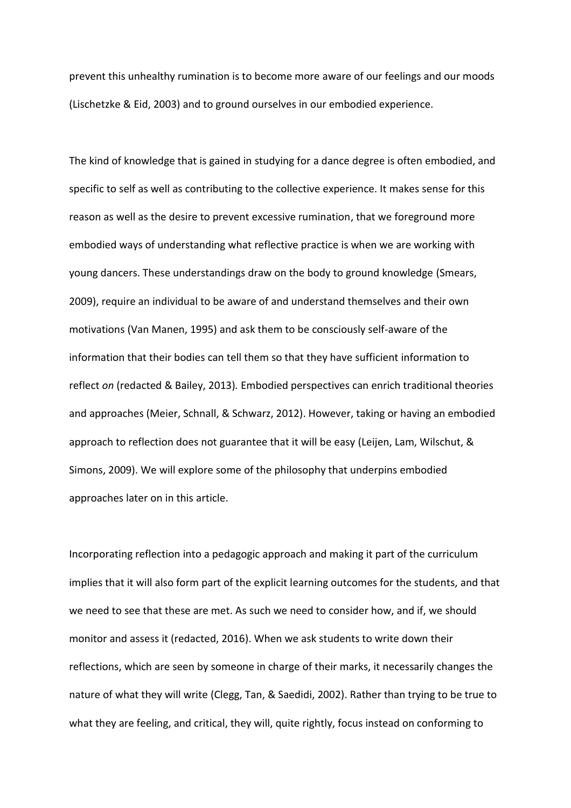prevent this unhealthy rumination is to become more aware of our feelings and our moods (Lischetzke & Eid, 2003) and to ground ourselves in our embodied experience.

The kind of knowledge that is gained in studying for a dance degree is often embodied, and specific to self as well as contributing to the collective experience. It makes sense for this reason as well as the desire to prevent excessive rumination, that we foreground more embodied ways of understanding what reflective practice is when we are working with young dancers. These understandings draw on the body to ground knowledge (Smears, 2009), require an individual to be aware of and understand themselves and their own motivations (Van Manen, 1995) and ask them to be consciously self-aware of the information that their bodies can tell them so that they have sufficient information to reflect *on* (redacted & Bailey, 2013)*.* Embodied perspectives can enrich traditional theories and approaches (Meier, Schnall, & Schwarz, 2012). However, taking or having an embodied approach to reflection does not guarantee that it will be easy (Leijen, Lam, Wilschut, & Simons, 2009). We will explore some of the philosophy that underpins embodied approaches later on in this article.

Incorporating reflection into a pedagogic approach and making it part of the curriculum implies that it will also form part of the explicit learning outcomes for the students, and that we need to see that these are met. As such we need to consider how, and if, we should monitor and assess it (redacted, 2016). When we ask students to write down their reflections, which are seen by someone in charge of their marks, it necessarily changes the nature of what they will write (Clegg, Tan, & Saedidi, 2002). Rather than trying to be true to what they are feeling, and critical, they will, quite rightly, focus instead on conforming to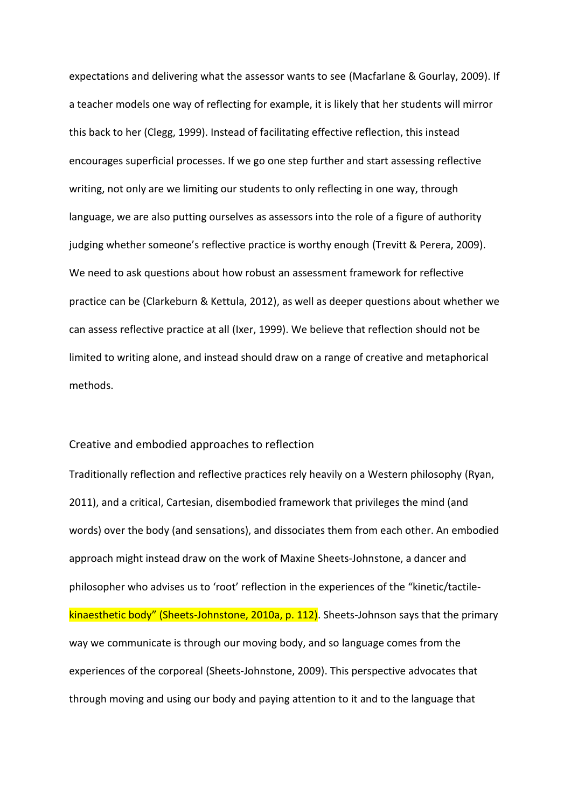expectations and delivering what the assessor wants to see (Macfarlane & Gourlay, 2009). If a teacher models one way of reflecting for example, it is likely that her students will mirror this back to her (Clegg, 1999). Instead of facilitating effective reflection, this instead encourages superficial processes. If we go one step further and start assessing reflective writing, not only are we limiting our students to only reflecting in one way, through language, we are also putting ourselves as assessors into the role of a figure of authority judging whether someone's reflective practice is worthy enough (Trevitt & Perera, 2009). We need to ask questions about how robust an assessment framework for reflective practice can be (Clarkeburn & Kettula, 2012), as well as deeper questions about whether we can assess reflective practice at all (Ixer, 1999). We believe that reflection should not be limited to writing alone, and instead should draw on a range of creative and metaphorical methods.

#### Creative and embodied approaches to reflection

Traditionally reflection and reflective practices rely heavily on a Western philosophy (Ryan, 2011), and a critical, Cartesian, disembodied framework that privileges the mind (and words) over the body (and sensations), and dissociates them from each other. An embodied approach might instead draw on the work of Maxine Sheets-Johnstone, a dancer and philosopher who advises us to 'root' reflection in the experiences of the "kinetic/tactilekinaesthetic body" (Sheets-Johnstone, 2010a, p. 112). Sheets-Johnson says that the primary way we communicate is through our moving body, and so language comes from the experiences of the corporeal (Sheets-Johnstone, 2009). This perspective advocates that through moving and using our body and paying attention to it and to the language that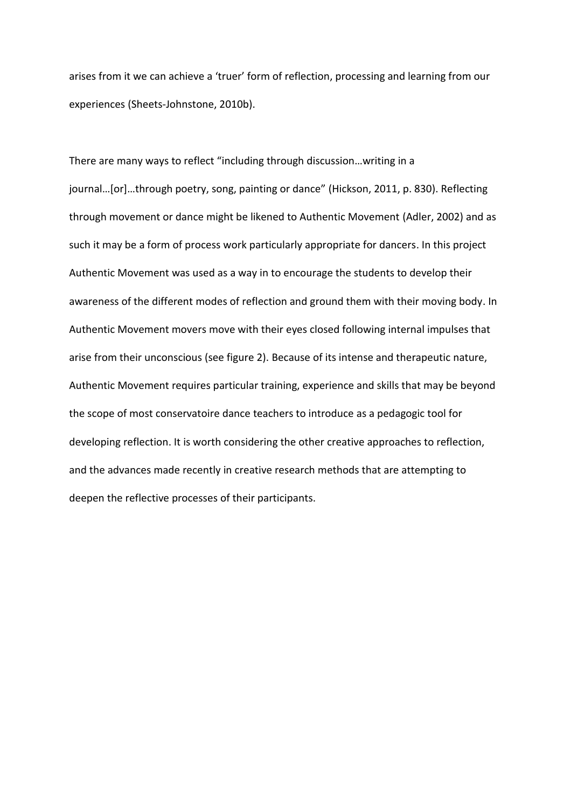arises from it we can achieve a 'truer' form of reflection, processing and learning from our experiences (Sheets-Johnstone, 2010b).

There are many ways to reflect "including through discussion...writing in a journal...[or]...through poetry, song, painting or dance" (Hickson, 2011, p. 830). Reflecting through movement or dance might be likened to Authentic Movement (Adler, 2002) and as such it may be a form of process work particularly appropriate for dancers. In this project Authentic Movement was used as a way in to encourage the students to develop their awareness of the different modes of reflection and ground them with their moving body. In Authentic Movement movers move with their eyes closed following internal impulses that arise from their unconscious (see figure 2). Because of its intense and therapeutic nature, Authentic Movement requires particular training, experience and skills that may be beyond the scope of most conservatoire dance teachers to introduce as a pedagogic tool for developing reflection. It is worth considering the other creative approaches to reflection, and the advances made recently in creative research methods that are attempting to deepen the reflective processes of their participants.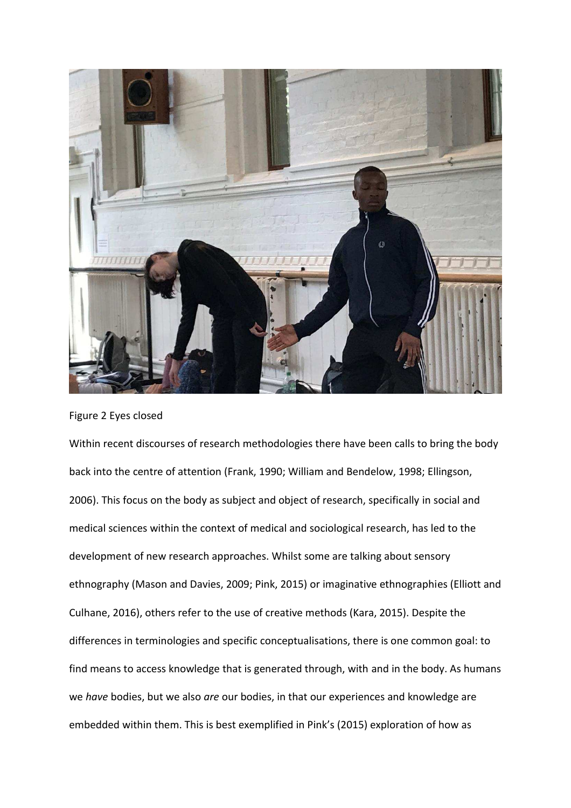

Figure 2 Eyes closed

Within recent discourses of research methodologies there have been calls to bring the body back into the centre of attention (Frank, 1990; William and Bendelow, 1998; Ellingson, 2006). This focus on the body as subject and object of research, specifically in social and medical sciences within the context of medical and sociological research, has led to the development of new research approaches. Whilst some are talking about sensory ethnography (Mason and Davies, 2009; Pink, 2015) or imaginative ethnographies (Elliott and Culhane, 2016), others refer to the use of creative methods (Kara, 2015). Despite the differences in terminologies and specific conceptualisations, there is one common goal: to find means to access knowledge that is generated through, with and in the body. As humans we have bodies, but we also are our bodies, in that our experiences and knowledge are embedded within them. This is best exemplified in Pink's (2015) exploration of how as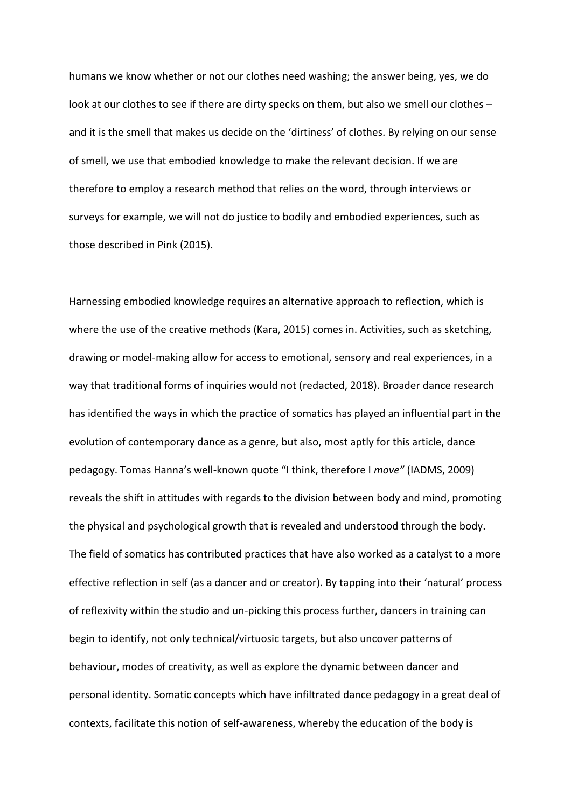humans we know whether or not our clothes need washing; the answer being, yes, we do look at our clothes to see if there are dirty specks on them, but also we smell our clothes – and it is the smell that makes us decide on the 'dirtiness' of clothes. By relying on our sense of smell, we use that embodied knowledge to make the relevant decision. If we are therefore to employ a research method that relies on the word, through interviews or surveys for example, we will not do justice to bodily and embodied experiences, such as those described in Pink (2015).

Harnessing embodied knowledge requires an alternative approach to reflection, which is where the use of the creative methods (Kara, 2015) comes in. Activities, such as sketching, drawing or model-making allow for access to emotional, sensory and real experiences, in a way that traditional forms of inquiries would not (redacted, 2018). Broader dance research has identified the ways in which the practice of somatics has played an influential part in the evolution of contemporary dance as a genre, but also, most aptly for this article, dance pedagogy. Tomas Hanna's well-known quote "I think, therefore I *move"* (IADMS, 2009) reveals the shift in attitudes with regards to the division between body and mind, promoting the physical and psychological growth that is revealed and understood through the body. The field of somatics has contributed practices that have also worked as a catalyst to a more effective reflection in self (as a dancer and or creator). By tapping into their 'natural' process of reflexivity within the studio and un-picking this process further, dancers in training can begin to identify, not only technical/virtuosic targets, but also uncover patterns of behaviour, modes of creativity, as well as explore the dynamic between dancer and personal identity. Somatic concepts which have infiltrated dance pedagogy in a great deal of contexts, facilitate this notion of self-awareness, whereby the education of the body is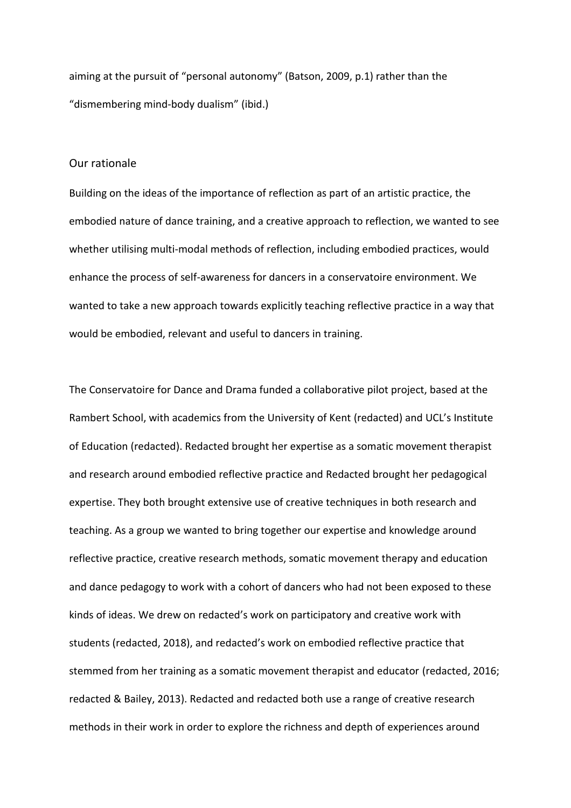aiming at the pursuit of "personal autonomy" (Batson, 2009, p.1) rather than the "dismembering mind-body dualism" (ibid.)

### Our rationale

Building on the ideas of the importance of reflection as part of an artistic practice, the embodied nature of dance training, and a creative approach to reflection, we wanted to see whether utilising multi-modal methods of reflection, including embodied practices, would enhance the process of self-awareness for dancers in a conservatoire environment. We wanted to take a new approach towards explicitly teaching reflective practice in a way that would be embodied, relevant and useful to dancers in training.

The Conservatoire for Dance and Drama funded a collaborative pilot project, based at the Rambert School, with academics from the University of Kent (redacted) and UCL's Institute of Education (redacted). Redacted brought her expertise as a somatic movement therapist and research around embodied reflective practice and Redacted brought her pedagogical expertise. They both brought extensive use of creative techniques in both research and teaching. As a group we wanted to bring together our expertise and knowledge around reflective practice, creative research methods, somatic movement therapy and education and dance pedagogy to work with a cohort of dancers who had not been exposed to these kinds of ideas. We drew on redacted's work on participatory and creative work with students (redacted, 2018), and redacted's work on embodied reflective practice that stemmed from her training as a somatic movement therapist and educator (redacted, 2016; redacted & Bailey, 2013). Redacted and redacted both use a range of creative research methods in their work in order to explore the richness and depth of experiences around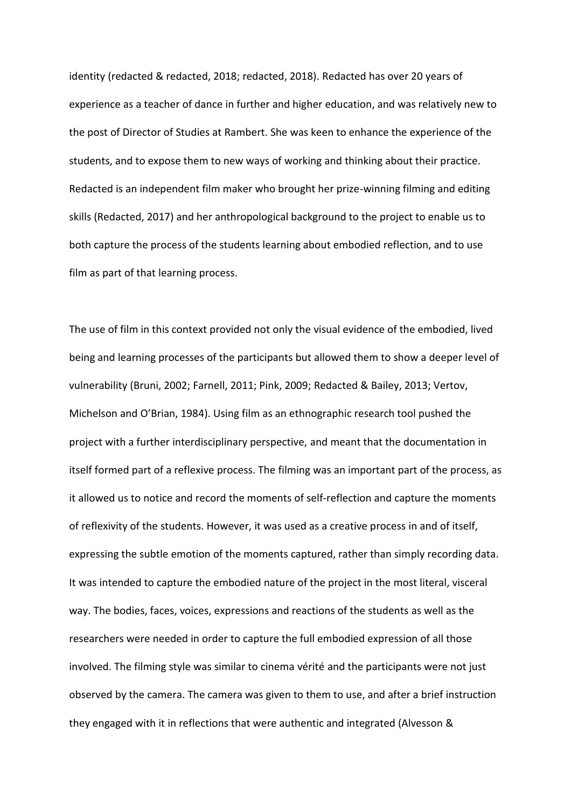identity (redacted & redacted, 2018; redacted, 2018). Redacted has over 20 years of experience as a teacher of dance in further and higher education, and was relatively new to the post of Director of Studies at Rambert. She was keen to enhance the experience of the students, and to expose them to new ways of working and thinking about their practice. Redacted is an independent film maker who brought her prize-winning filming and editing skills (Redacted, 2017) and her anthropological background to the project to enable us to both capture the process of the students learning about embodied reflection, and to use film as part of that learning process.

The use of film in this context provided not only the visual evidence of the embodied, lived being and learning processes of the participants but allowed them to show a deeper level of vulnerability (Bruni, 2002; Farnell, 2011; Pink, 2009; Redacted & Bailey, 2013; Vertov, Michelson and O'Brian, 1984). Using film as an ethnographic research tool pushed the project with a further interdisciplinary perspective, and meant that the documentation in itself formed part of a reflexive process. The filming was an important part of the process, as it allowed us to notice and record the moments of self-reflection and capture the moments of reflexivity of the students. However, it was used as a creative process in and of itself, expressing the subtle emotion of the moments captured, rather than simply recording data. It was intended to capture the embodied nature of the project in the most literal, visceral way. The bodies, faces, voices, expressions and reactions of the students as well as the researchers were needed in order to capture the full embodied expression of all those involved. The filming style was similar to cinema vérité and the participants were not just observed by the camera. The camera was given to them to use, and after a brief instruction they engaged with it in reflections that were authentic and integrated (Alvesson &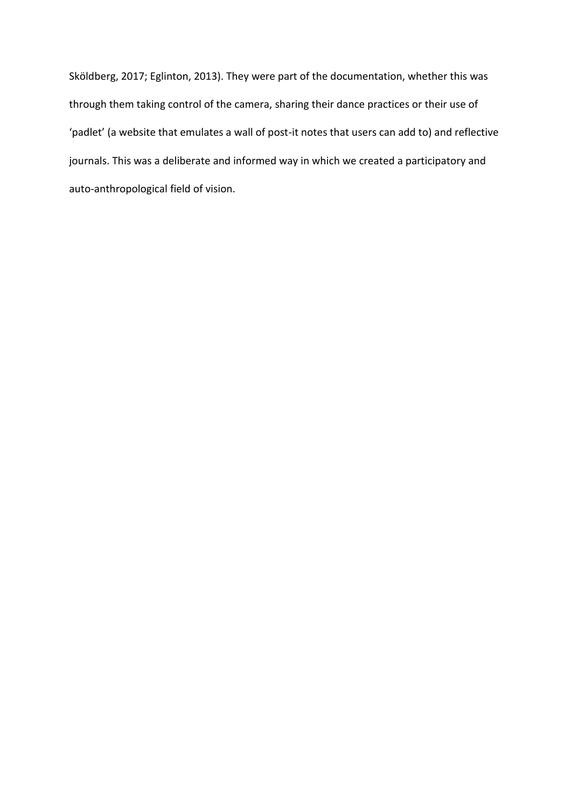Sköldberg, 2017; Eglinton, 2013). They were part of the documentation, whether this was through them taking control of the camera, sharing their dance practices or their use of 'padlet' (a website that emulates a wall of post-it notes that users can add to) and reflective journals. This was a deliberate and informed way in which we created a participatory and auto-anthropological field of vision.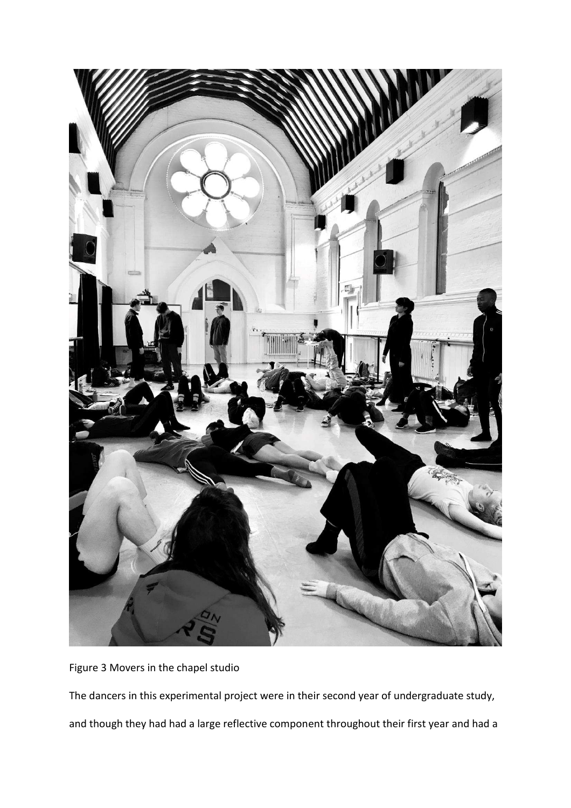

Figure 3 Movers in the chapel studio

The dancers in this experimental project were in their second year of undergraduate study, and though they had had a large reflective component throughout their first year and had a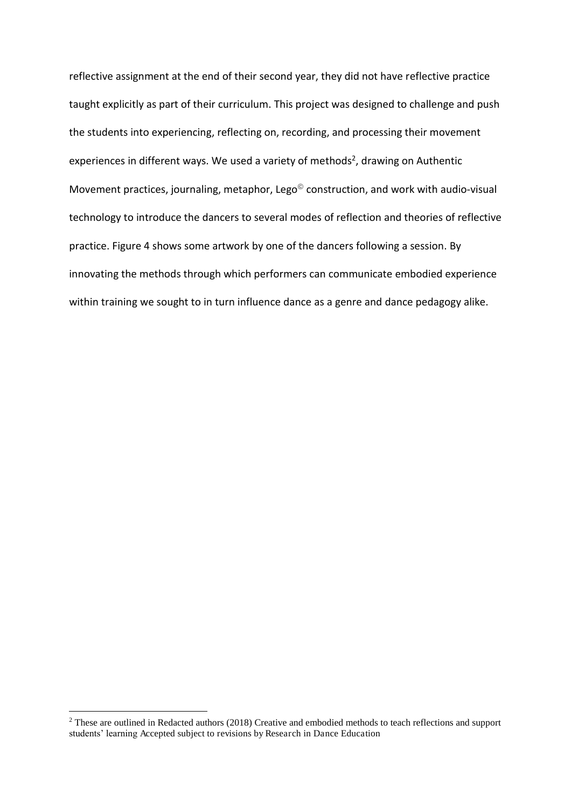reflective assignment at the end of their second year, they did not have reflective practice taught explicitly as part of their curriculum. This project was designed to challenge and push the students into experiencing, reflecting on, recording, and processing their movement experiences in different ways. We used a variety of methods<sup>2</sup>, drawing on Authentic Movement practices, journaling, metaphor, Lego<sup>®</sup> construction, and work with audio-visual technology to introduce the dancers to several modes of reflection and theories of reflective practice. Figure 4 shows some artwork by one of the dancers following a session. By innovating the methods through which performers can communicate embodied experience within training we sought to in turn influence dance as a genre and dance pedagogy alike.

 $\overline{a}$ 

 $2$  These are outlined in Redacted authors (2018) Creative and embodied methods to teach reflections and support students' learning Accepted subject to revisions by Research in Dance Education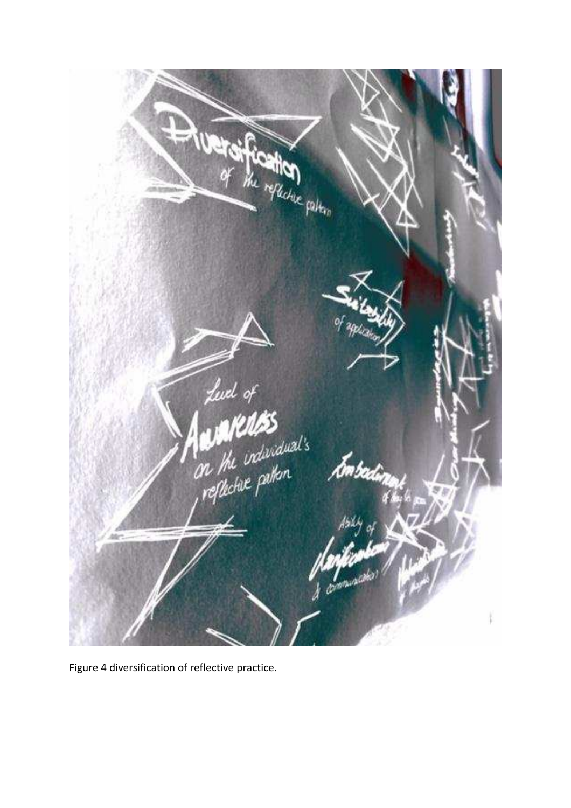

Figure 4 diversification of reflective practice.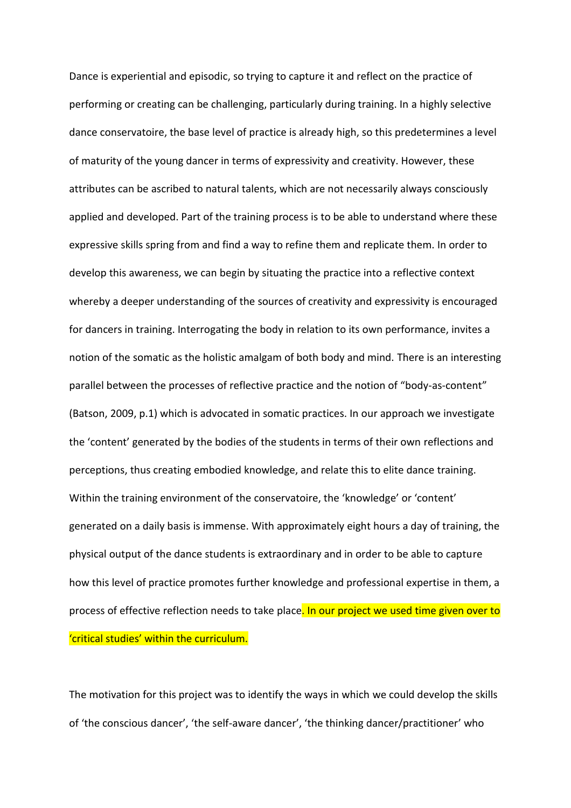Dance is experiential and episodic, so trying to capture it and reflect on the practice of performing or creating can be challenging, particularly during training. In a highly selective dance conservatoire, the base level of practice is already high, so this predetermines a level of maturity of the young dancer in terms of expressivity and creativity. However, these attributes can be ascribed to natural talents, which are not necessarily always consciously applied and developed. Part of the training process is to be able to understand where these expressive skills spring from and find a way to refine them and replicate them. In order to develop this awareness, we can begin by situating the practice into a reflective context whereby a deeper understanding of the sources of creativity and expressivity is encouraged for dancers in training. Interrogating the body in relation to its own performance, invites a notion of the somatic as the holistic amalgam of both body and mind. There is an interesting parallel between the processes of reflective practice and the notion of "body-as-content" (Batson, 2009, p.1) which is advocated in somatic practices. In our approach we investigate the 'content' generated by the bodies of the students in terms of their own reflections and perceptions, thus creating embodied knowledge, and relate this to elite dance training. Within the training environment of the conservatoire, the 'knowledge' or 'content' generated on a daily basis is immense. With approximately eight hours a day of training, the physical output of the dance students is extraordinary and in order to be able to capture how this level of practice promotes further knowledge and professional expertise in them, a process of effective reflection needs to take place. In our project we used time given over to 'critical studies' within the curriculum.

The motivation for this project was to identify the ways in which we could develop the skills of 'the conscious dancer', 'the self-aware dancer', 'the thinking dancer/practitioner' who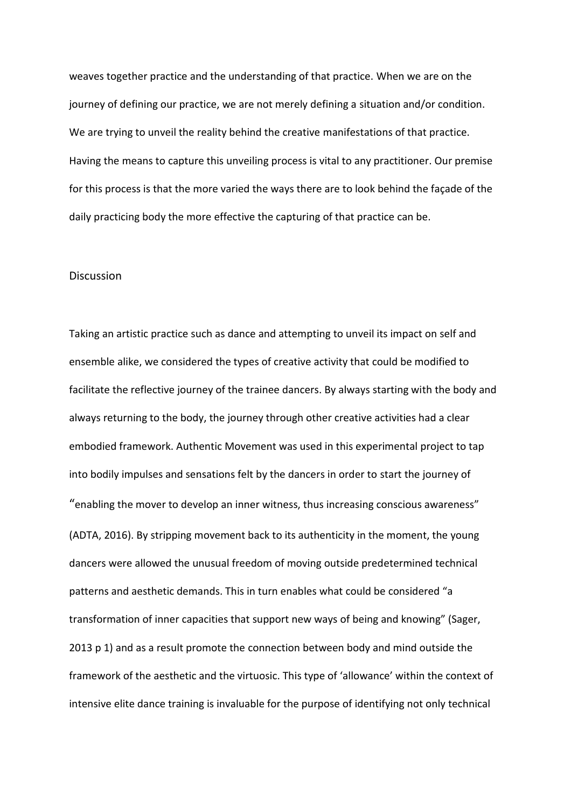weaves together practice and the understanding of that practice. When we are on the journey of defining our practice, we are not merely defining a situation and/or condition. We are trying to unveil the reality behind the creative manifestations of that practice. Having the means to capture this unveiling process is vital to any practitioner. Our premise for this process is that the more varied the ways there are to look behind the façade of the daily practicing body the more effective the capturing of that practice can be.

#### Discussion

Taking an artistic practice such as dance and attempting to unveil its impact on self and ensemble alike, we considered the types of creative activity that could be modified to facilitate the reflective journey of the trainee dancers. By always starting with the body and always returning to the body, the journey through other creative activities had a clear embodied framework. Authentic Movement was used in this experimental project to tap into bodily impulses and sensations felt by the dancers in order to start the journey of "enabling the mover to develop an inner witness, thus increasing conscious awareness" (ADTA, 2016). By stripping movement back to its authenticity in the moment, the young dancers were allowed the unusual freedom of moving outside predetermined technical patterns and aesthetic demands. This in turn enables what could be considered "a transformation of inner capacities that support new ways of being and knowing" (Sager, 2013 p 1) and as a result promote the connection between body and mind outside the framework of the aesthetic and the virtuosic. This type of 'allowance' within the context of intensive elite dance training is invaluable for the purpose of identifying not only technical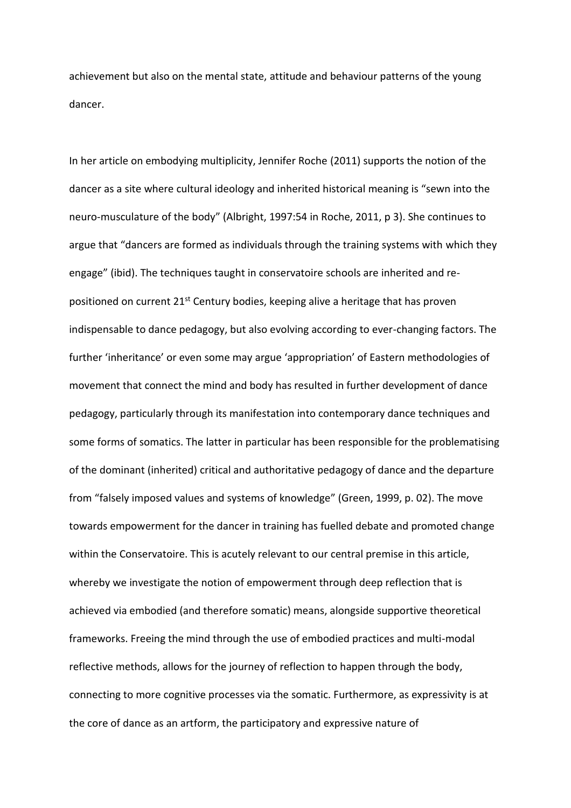achievement but also on the mental state, attitude and behaviour patterns of the young dancer.

In her article on embodying multiplicity, Jennifer Roche (2011) supports the notion of the dancer as a site where cultural ideology and inherited historical meaning is "sewn into the neuro-musculature of the body" (Albright, 1997:54 in Roche, 2011, p 3). She continues to argue that "dancers are formed as individuals through the training systems with which they engage" (ibid). The techniques taught in conservatoire schools are inherited and repositioned on current  $21^{st}$  Century bodies, keeping alive a heritage that has proven indispensable to dance pedagogy, but also evolving according to ever-changing factors. The further 'inheritance' or even some may argue 'appropriation' of Eastern methodologies of movement that connect the mind and body has resulted in further development of dance pedagogy, particularly through its manifestation into contemporary dance techniques and some forms of somatics. The latter in particular has been responsible for the problematising of the dominant (inherited) critical and authoritative pedagogy of dance and the departure from "falsely imposed values and systems of knowledge" (Green, 1999, p. 02). The move towards empowerment for the dancer in training has fuelled debate and promoted change within the Conservatoire. This is acutely relevant to our central premise in this article, whereby we investigate the notion of empowerment through deep reflection that is achieved via embodied (and therefore somatic) means, alongside supportive theoretical frameworks. Freeing the mind through the use of embodied practices and multi-modal reflective methods, allows for the journey of reflection to happen through the body, connecting to more cognitive processes via the somatic. Furthermore, as expressivity is at the core of dance as an artform, the participatory and expressive nature of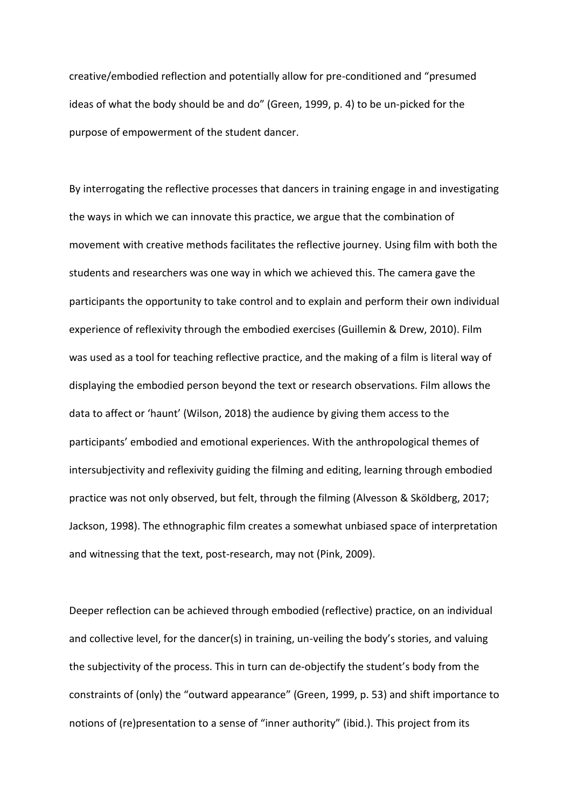creative/embodied reflection and potentially allow for pre-conditioned and "presumed ideas of what the body should be and do" (Green, 1999, p. 4) to be un-picked for the purpose of empowerment of the student dancer.

By interrogating the reflective processes that dancers in training engage in and investigating the ways in which we can innovate this practice, we argue that the combination of movement with creative methods facilitates the reflective journey. Using film with both the students and researchers was one way in which we achieved this. The camera gave the participants the opportunity to take control and to explain and perform their own individual experience of reflexivity through the embodied exercises (Guillemin & Drew, 2010). Film was used as a tool for teaching reflective practice, and the making of a film is literal way of displaying the embodied person beyond the text or research observations. Film allows the data to affect or 'haunt' (Wilson, 2018) the audience by giving them access to the participants' embodied and emotional experiences. With the anthropological themes of intersubjectivity and reflexivity guiding the filming and editing, learning through embodied practice was not only observed, but felt, through the filming (Alvesson & Sköldberg, 2017; Jackson, 1998). The ethnographic film creates a somewhat unbiased space of interpretation and witnessing that the text, post-research, may not (Pink, 2009).

Deeper reflection can be achieved through embodied (reflective) practice, on an individual and collective level, for the dancer(s) in training, un-veiling the body's stories, and valuing the subjectivity of the process. This in turn can de-objectify the student's body from the constraints of (only) the "outward appearance" (Green, 1999, p. 53) and shift importance to notions of (re)presentation to a sense of "inner authority" (ibid.). This project from its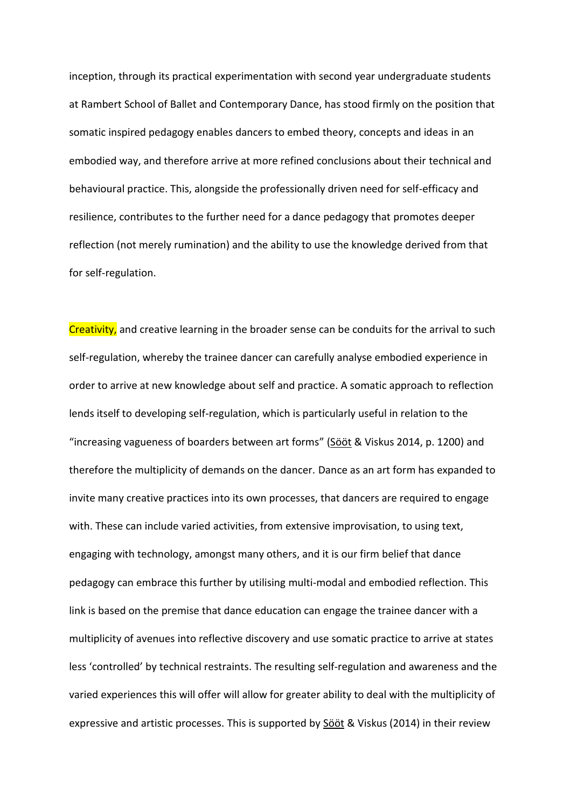inception, through its practical experimentation with second year undergraduate students at Rambert School of Ballet and Contemporary Dance, has stood firmly on the position that somatic inspired pedagogy enables dancers to embed theory, concepts and ideas in an embodied way, and therefore arrive at more refined conclusions about their technical and behavioural practice. This, alongside the professionally driven need for self-efficacy and resilience, contributes to the further need for a dance pedagogy that promotes deeper reflection (not merely rumination) and the ability to use the knowledge derived from that for self-regulation.

Creativity, and creative learning in the broader sense can be conduits for the arrival to such self-regulation, whereby the trainee dancer can carefully analyse embodied experience in order to arrive at new knowledge about self and practice. A somatic approach to reflection lends itself to developing self-regulation, which is particularly useful in relation to the ͞increasing vagueness of boarders between art forms͟ [\(Sööt](https://www.researchgate.net/profile/Anu_Soeoet) & Viskus 2014, p. 1200) and therefore the multiplicity of demands on the dancer. Dance as an art form has expanded to invite many creative practices into its own processes, that dancers are required to engage with. These can include varied activities, from extensive improvisation, to using text, engaging with technology, amongst many others, and it is our firm belief that dance pedagogy can embrace this further by utilising multi-modal and embodied reflection. This link is based on the premise that dance education can engage the trainee dancer with a multiplicity of avenues into reflective discovery and use somatic practice to arrive at states less 'controlled' by technical restraints. The resulting self-regulation and awareness and the varied experiences this will offer will allow for greater ability to deal with the multiplicity of expressive and artistic processes. This is supported by **Sööt & Viskus (2014)** in their review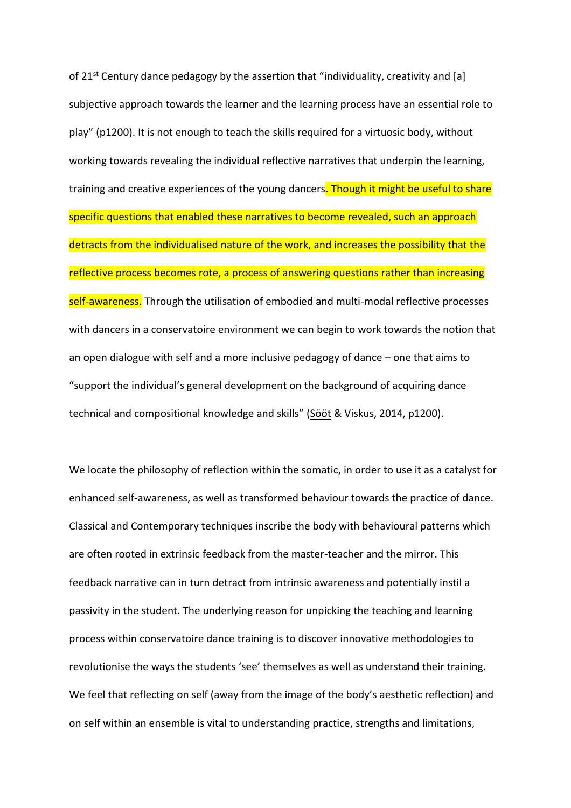of 21<sup>st</sup> Century dance pedagogy by the assertion that "individuality, creativity and [a] subjective approach towards the learner and the learning process have an essential role to play" (p1200). It is not enough to teach the skills required for a virtuosic body, without working towards revealing the individual reflective narratives that underpin the learning, training and creative experiences of the young dancers. Though it might be useful to share specific questions that enabled these narratives to become revealed, such an approach detracts from the individualised nature of the work, and increases the possibility that the reflective process becomes rote, a process of answering questions rather than increasing self-awareness. Through the utilisation of embodied and multi-modal reflective processes with dancers in a conservatoire environment we can begin to work towards the notion that an open dialogue with self and a more inclusive pedagogy of dance  $-$  one that aims to "support the individual's general development on the background of acquiring dance technical and compositional knowledge and skills" (Sööt & Viskus, 2014, p1200).

We locate the philosophy of reflection within the somatic, in order to use it as a catalyst for enhanced self-awareness, as well as transformed behaviour towards the practice of dance. Classical and Contemporary techniques inscribe the body with behavioural patterns which are often rooted in extrinsic feedback from the master-teacher and the mirror. This feedback narrative can in turn detract from intrinsic awareness and potentially instil a passivity in the student. The underlying reason for unpicking the teaching and learning process within conservatoire dance training is to discover innovative methodologies to revolutionise the ways the students 'see' themselves as well as understand their training. We feel that reflecting on self (away from the image of the body's aesthetic reflection) and on self within an ensemble is vital to understanding practice, strengths and limitations,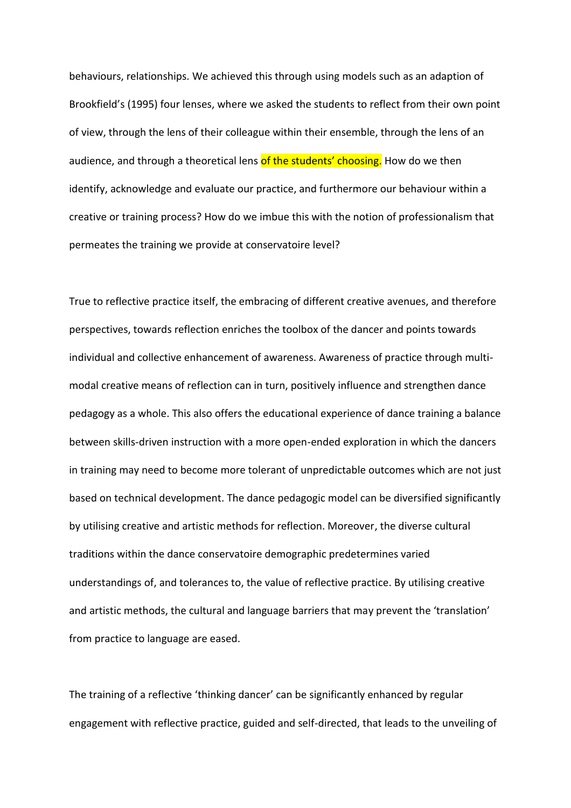behaviours, relationships. We achieved this through using models such as an adaption of Brookfield's (1995) four lenses, where we asked the students to reflect from their own point of view, through the lens of their colleague within their ensemble, through the lens of an audience, and through a theoretical lens of the students' choosing. How do we then identify, acknowledge and evaluate our practice, and furthermore our behaviour within a creative or training process? How do we imbue this with the notion of professionalism that permeates the training we provide at conservatoire level?

True to reflective practice itself, the embracing of different creative avenues, and therefore perspectives, towards reflection enriches the toolbox of the dancer and points towards individual and collective enhancement of awareness. Awareness of practice through multimodal creative means of reflection can in turn, positively influence and strengthen dance pedagogy as a whole. This also offers the educational experience of dance training a balance between skills-driven instruction with a more open-ended exploration in which the dancers in training may need to become more tolerant of unpredictable outcomes which are not just based on technical development. The dance pedagogic model can be diversified significantly by utilising creative and artistic methods for reflection. Moreover, the diverse cultural traditions within the dance conservatoire demographic predetermines varied understandings of, and tolerances to, the value of reflective practice. By utilising creative and artistic methods, the cultural and language barriers that may prevent the 'translation' from practice to language are eased.

The training of a reflective 'thinking dancer' can be significantly enhanced by regular engagement with reflective practice, guided and self-directed, that leads to the unveiling of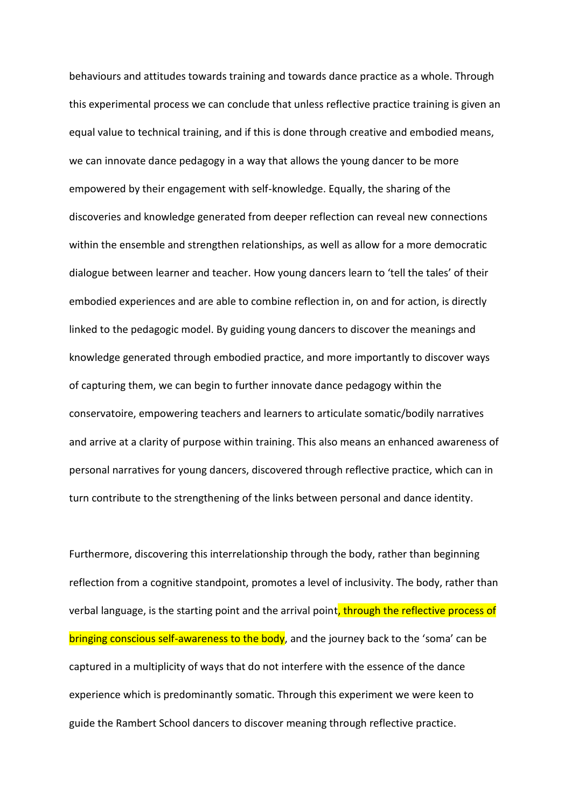behaviours and attitudes towards training and towards dance practice as a whole. Through this experimental process we can conclude that unless reflective practice training is given an equal value to technical training, and if this is done through creative and embodied means, we can innovate dance pedagogy in a way that allows the young dancer to be more empowered by their engagement with self-knowledge. Equally, the sharing of the discoveries and knowledge generated from deeper reflection can reveal new connections within the ensemble and strengthen relationships, as well as allow for a more democratic dialogue between learner and teacher. How young dancers learn to 'tell the tales' of their embodied experiences and are able to combine reflection in, on and for action, is directly linked to the pedagogic model. By guiding young dancers to discover the meanings and knowledge generated through embodied practice, and more importantly to discover ways of capturing them, we can begin to further innovate dance pedagogy within the conservatoire, empowering teachers and learners to articulate somatic/bodily narratives and arrive at a clarity of purpose within training. This also means an enhanced awareness of personal narratives for young dancers, discovered through reflective practice, which can in turn contribute to the strengthening of the links between personal and dance identity.

Furthermore, discovering this interrelationship through the body, rather than beginning reflection from a cognitive standpoint, promotes a level of inclusivity. The body, rather than verbal language, is the starting point and the arrival point, through the reflective process of bringing conscious self-awareness to the body, and the journey back to the 'soma' can be captured in a multiplicity of ways that do not interfere with the essence of the dance experience which is predominantly somatic. Through this experiment we were keen to guide the Rambert School dancers to discover meaning through reflective practice.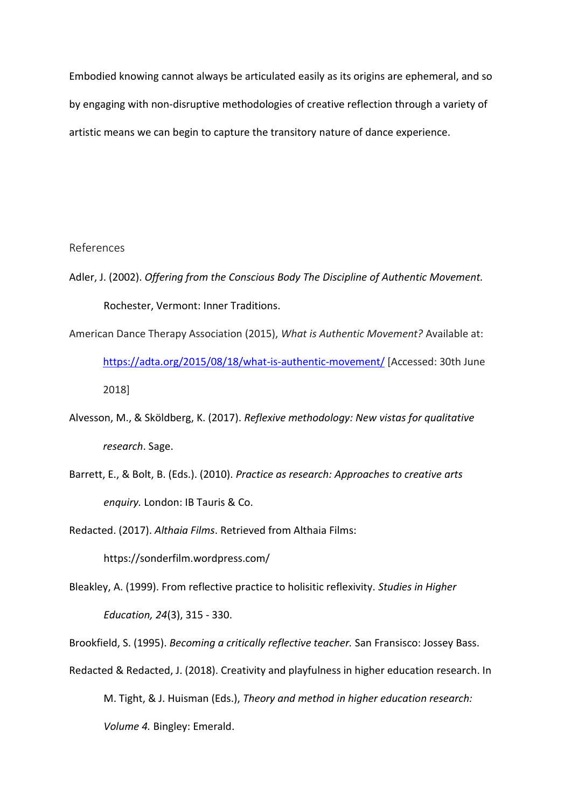Embodied knowing cannot always be articulated easily as its origins are ephemeral, and so by engaging with non-disruptive methodologies of creative reflection through a variety of artistic means we can begin to capture the transitory nature of dance experience.

### References

- Adler, J. (2002). *Offering from the Conscious Body The Discipline of Authentic Movement.* Rochester, Vermont: Inner Traditions.
- American Dance Therapy Association (2015), *What is Authentic Movement?* Available at: <https://adta.org/2015/08/18/what-is-authentic-movement/>[Accessed: 30th June 2018]
- Alvesson, M., & Sköldberg, K. (2017). *Reflexive methodology: New vistas for qualitative research*. Sage.
- Barrett, E., & Bolt, B. (Eds.). (2010). *Practice as research: Approaches to creative arts enquiry.* London: IB Tauris & Co.

Redacted. (2017). *Althaia Films*. Retrieved from Althaia Films:

https://sonderfilm.wordpress.com/

Bleakley, A. (1999). From reflective practice to holisitic reflexivity. *Studies in Higher Education, 24*(3), 315 - 330.

Brookfield, S. (1995). *Becoming a critically reflective teacher.* San Fransisco: Jossey Bass.

Redacted & Redacted, J. (2018). Creativity and playfulness in higher education research. In M. Tight, & J. Huisman (Eds.), *Theory and method in higher education research: Volume 4.* Bingley: Emerald.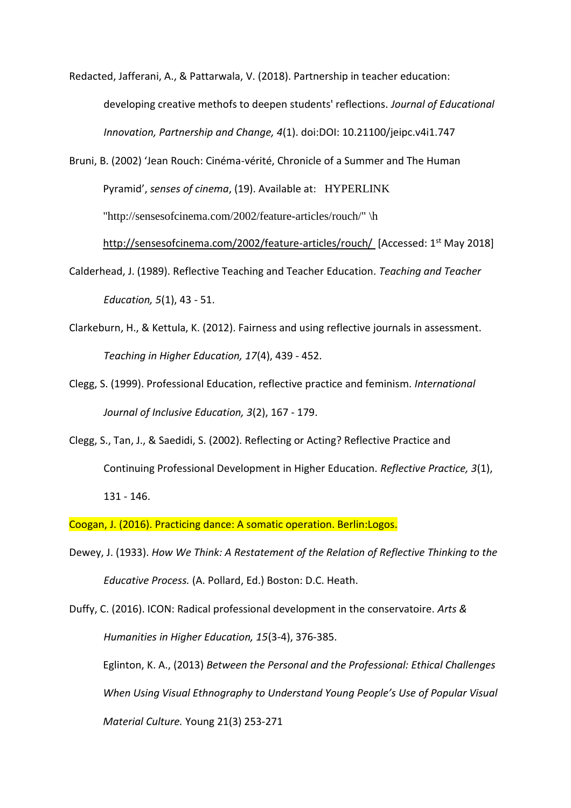Redacted, Jafferani, A., & Pattarwala, V. (2018). Partnership in teacher education: developing creative methofs to deepen students' reflections. Journal of Educational Innovation, Partnership and Change, 4(1). doi:DOI: 10.21100/jeipc.v4i1.747

Bruni, B. (2002) 'Jean Rouch: Cinéma-vérité, Chronicle of a Summer and The Human Pyramid', senses of cinema, (19). Available at: HYPERLINK "http://sensesofcinema.com/2002/feature-articles/rouch/" \h

http://sensesofcinema.com/2002/feature-articles/rouch/ [Accessed: 1<sup>st</sup> May 2018]

- Calderhead, J. (1989). Reflective Teaching and Teacher Education. Teaching and Teacher Education, 5(1), 43 - 51.
- Clarkeburn, H., & Kettula, K. (2012). Fairness and using reflective journals in assessment. Teaching in Higher Education, 17(4), 439 - 452.
- Clegg, S. (1999). Professional Education, reflective practice and feminism. International Journal of Inclusive Education, 3(2), 167 - 179.
- Clegg, S., Tan, J., & Saedidi, S. (2002). Reflecting or Acting? Reflective Practice and Continuing Professional Development in Higher Education. Reflective Practice, 3(1),  $131 - 146.$

Coogan, J. (2016). Practicing dance: A somatic operation. Berlin: Logos.

- Dewey, J. (1933). How We Think: A Restatement of the Relation of Reflective Thinking to the Educative Process. (A. Pollard, Ed.) Boston: D.C. Heath.
- Duffy, C. (2016). ICON: Radical professional development in the conservatoire. Arts & Humanities in Higher Education, 15(3-4), 376-385. Eglinton, K. A., (2013) Between the Personal and the Professional: Ethical Challenges When Using Visual Ethnography to Understand Young People's Use of Popular Visual Material Culture. Young 21(3) 253-271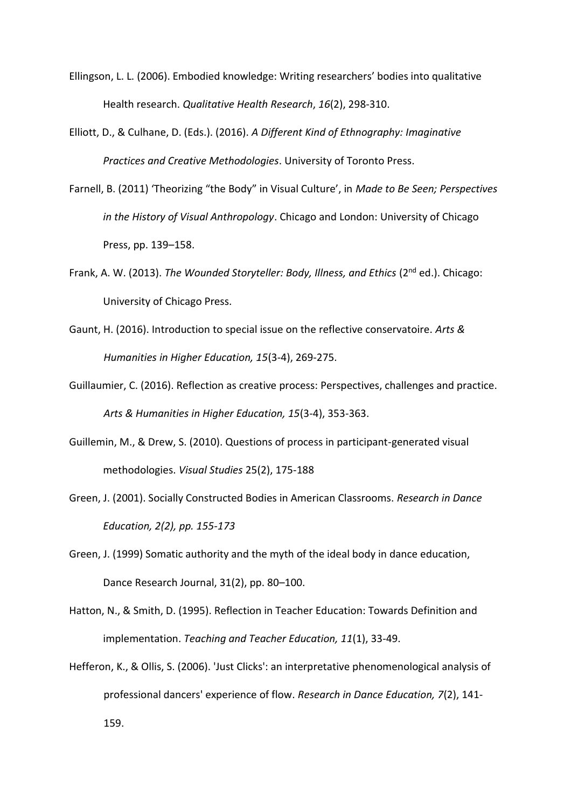- Ellingson, L. L. (2006). Embodied knowledge: Writing researchers' bodies into qualitative Health research. Qualitative Health Research, 16(2), 298-310.
- Elliott, D., & Culhane, D. (Eds.). (2016). A Different Kind of Ethnography: Imaginative Practices and Creative Methodologies. University of Toronto Press.
- Farnell, B. (2011) 'Theorizing "the Body" in Visual Culture', in Made to Be Seen; Perspectives in the History of Visual Anthropology. Chicago and London: University of Chicago Press, pp. 139-158.
- Frank, A. W. (2013). The Wounded Storyteller: Body, Illness, and Ethics (2<sup>nd</sup> ed.). Chicago: University of Chicago Press.
- Gaunt, H. (2016). Introduction to special issue on the reflective conservatoire. Arts & Humanities in Higher Education, 15(3-4), 269-275.
- Guillaumier, C. (2016). Reflection as creative process: Perspectives, challenges and practice. Arts & Humanities in Higher Education, 15(3-4), 353-363.
- Guillemin, M., & Drew, S. (2010). Questions of process in participant-generated visual methodologies. Visual Studies 25(2), 175-188
- Green, J. (2001). Socially Constructed Bodies in American Classrooms. Research in Dance Education, 2(2), pp. 155-173
- Green, J. (1999) Somatic authority and the myth of the ideal body in dance education, Dance Research Journal, 31(2), pp. 80-100.
- Hatton, N., & Smith, D. (1995). Reflection in Teacher Education: Towards Definition and implementation. Teaching and Teacher Education, 11(1), 33-49.
- Hefferon, K., & Ollis, S. (2006). 'Just Clicks': an interpretative phenomenological analysis of professional dancers' experience of flow. Research in Dance Education, 7(2), 141-159.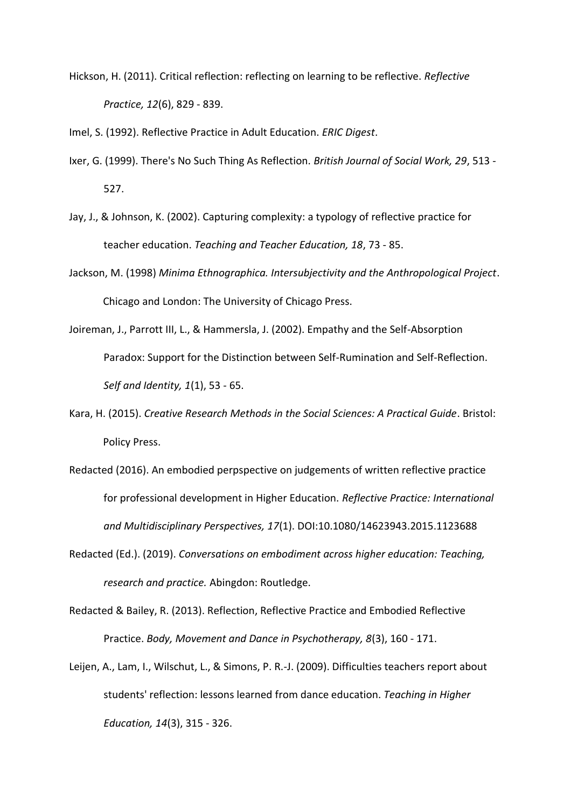Hickson, H. (2011). Critical reflection: reflecting on learning to be reflective. *Reflective Practice, 12*(6), 829 - 839.

Imel, S. (1992). Reflective Practice in Adult Education. *ERIC Digest*.

- Ixer, G. (1999). There's No Such Thing As Reflection. *British Journal of Social Work, 29*, 513 527.
- Jay, J., & Johnson, K. (2002). Capturing complexity: a typology of reflective practice for teacher education. *Teaching and Teacher Education, 18*, 73 - 85.
- Jackson, M. (1998) *Minima Ethnographica. Intersubjectivity and the Anthropological Project*. Chicago and London: The University of Chicago Press.
- Joireman, J., Parrott III, L., & Hammersla, J. (2002). Empathy and the Self-Absorption Paradox: Support for the Distinction between Self-Rumination and Self-Reflection. *Self and Identity, 1*(1), 53 - 65.
- Kara, H. (2015). *Creative Research Methods in the Social Sciences: A Practical Guide*. Bristol: Policy Press.
- Redacted (2016). An embodied perpspective on judgements of written reflective practice for professional development in Higher Education. *Reflective Practice: International and Multidisciplinary Perspectives, 17*(1). DOI:10.1080/14623943.2015.1123688
- Redacted (Ed.). (2019). *Conversations on embodiment across higher education: Teaching, research and practice.* Abingdon: Routledge.
- Redacted & Bailey, R. (2013). Reflection, Reflective Practice and Embodied Reflective Practice. *Body, Movement and Dance in Psychotherapy, 8*(3), 160 - 171.
- Leijen, A., Lam, I., Wilschut, L., & Simons, P. R.-J. (2009). Difficulties teachers report about students' reflection: lessons learned from dance education. *Teaching in Higher Education, 14*(3), 315 - 326.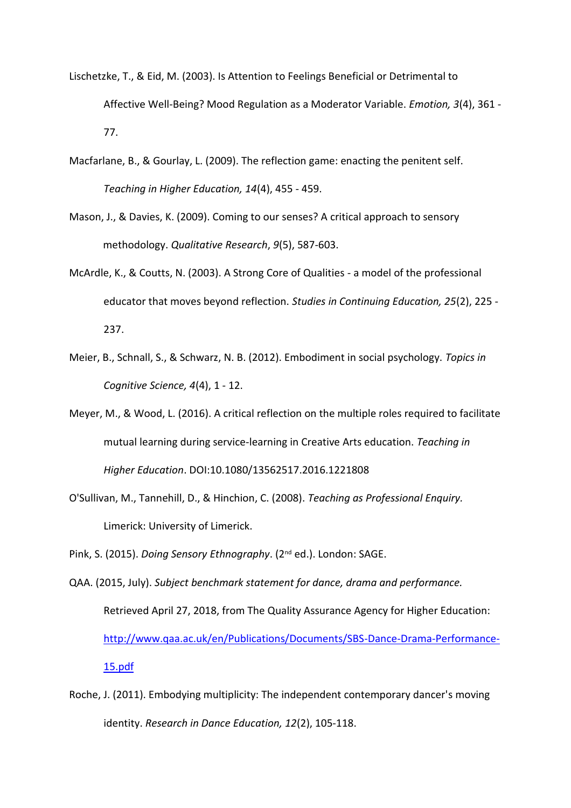- Lischetzke, T., & Eid, M. (2003). Is Attention to Feelings Beneficial or Detrimental to Affective Well-Being? Mood Regulation as a Moderator Variable. *Emotion, 3*(4), 361 - 77.
- Macfarlane, B., & Gourlay, L. (2009). The reflection game: enacting the penitent self. *Teaching in Higher Education, 14*(4), 455 - 459.
- Mason, J., & Davies, K. (2009). Coming to our senses? A critical approach to sensory methodology. *Qualitative Research*, *9*(5), 587-603.
- McArdle, K., & Coutts, N. (2003). A Strong Core of Qualities a model of the professional educator that moves beyond reflection. *Studies in Continuing Education, 25*(2), 225 - 237.
- Meier, B., Schnall, S., & Schwarz, N. B. (2012). Embodiment in social psychology. *Topics in Cognitive Science, 4*(4), 1 - 12.
- Meyer, M., & Wood, L. (2016). A critical reflection on the multiple roles required to facilitate mutual learning during service-learning in Creative Arts education. *Teaching in Higher Education*. DOI:10.1080/13562517.2016.1221808
- O'Sullivan, M., Tannehill, D., & Hinchion, C. (2008). *Teaching as Professional Enquiry.* Limerick: University of Limerick.
- Pink, S. (2015). *Doing Sensory Ethnography*. (2nd ed.). London: SAGE.
- QAA. (2015, July). *Subject benchmark statement for dance, drama and performance.* Retrieved April 27, 2018, from The Quality Assurance Agency for Higher Education: [http://www.qaa.ac.uk/en/Publications/Documents/SBS-Dance-Drama-Performance-](http://www.qaa.ac.uk/en/Publications/Documents/SBS-Dance-Drama-Performance-15.pdf)[15.pdf](http://www.qaa.ac.uk/en/Publications/Documents/SBS-Dance-Drama-Performance-15.pdf)
- Roche, J. (2011). Embodying multiplicity: The independent contemporary dancer's moving identity. *Research in Dance Education, 12*(2), 105-118.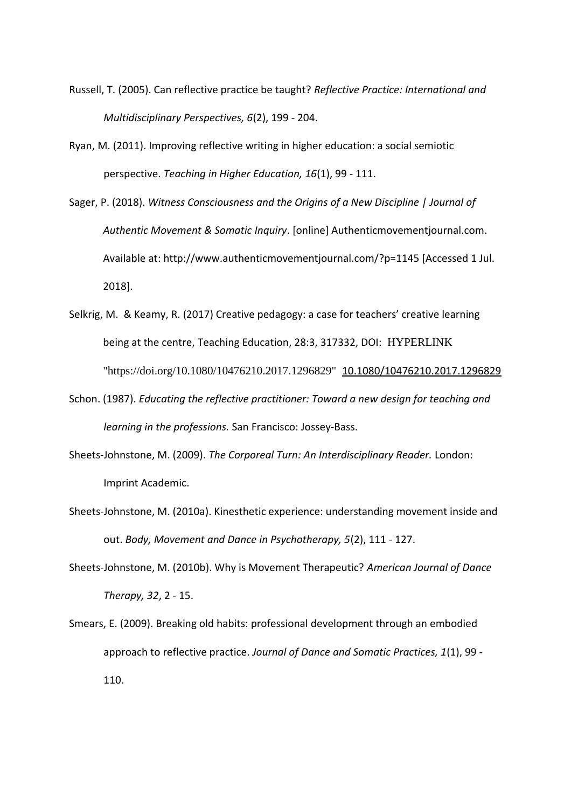- Russell, T. (2005). Can reflective practice be taught? *Reflective Practice: International and Multidisciplinary Perspectives, 6*(2), 199 - 204.
- Ryan, M. (2011). Improving reflective writing in higher education: a social semiotic perspective. *Teaching in Higher Education, 16*(1), 99 - 111.
- Sager, P. (2018). *Witness Consciousness and the Origins of a New Discipline | Journal of Authentic Movement & Somatic Inquiry*. [online] Authenticmovementjournal.com. Available at: http://www.authenticmovementjournal.com/?p=1145 [Accessed 1 Jul. 2018].
- Selkrig, M. & Keamy, R. (2017) Creative pedagogy: a case for teachers' creative learning being at the centre, Teaching Education, 28:3, 317332, DOI: HYPERLINK "https://doi.org/10.1080/10476210.2017.1296829" 10.1080/10476210.2017.1296829
- Schon. (1987). *Educating the reflective practitioner: Toward a new design for teaching and learning in the professions.* San Francisco: Jossey-Bass.
- Sheets-Johnstone, M. (2009). *The Corporeal Turn: An Interdisciplinary Reader.* London: Imprint Academic.
- Sheets-Johnstone, M. (2010a). Kinesthetic experience: understanding movement inside and out. *Body, Movement and Dance in Psychotherapy, 5*(2), 111 - 127.
- Sheets-Johnstone, M. (2010b). Why is Movement Therapeutic? *American Journal of Dance Therapy, 32*, 2 - 15.
- Smears, E. (2009). Breaking old habits: professional development through an embodied approach to reflective practice. *Journal of Dance and Somatic Practices, 1*(1), 99 - 110.